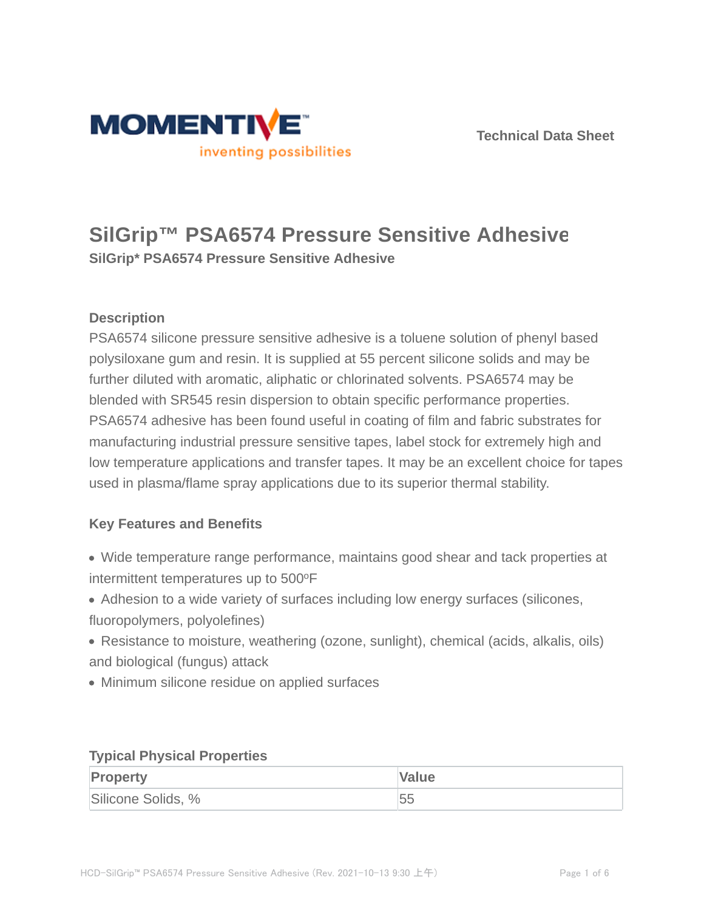



# **SilGrip™ PSA6574 Pressure Sensitive Adhesive SilGrip\* PSA6574 Pressure Sensitive Adhesive**

## **Description**

PSA6574 silicone pressure sensitive adhesive is a toluene solution of phenyl based polysiloxane gum and resin. It is supplied at 55 percent silicone solids and may be further diluted with aromatic, aliphatic or chlorinated solvents. PSA6574 may be blended with SR545 resin dispersion to obtain specific performance properties. PSA6574 adhesive has been found useful in coating of film and fabric substrates for manufacturing industrial pressure sensitive tapes, label stock for extremely high and low temperature applications and transfer tapes. It may be an excellent choice for tapes used in plasma/flame spray applications due to its superior thermal stability.

#### **Key Features and Benefits**

- Wide temperature range performance, maintains good shear and tack properties at intermittent temperatures up to 500°F
- Adhesion to a wide variety of surfaces including low energy surfaces (silicones, fluoropolymers, polyolefines)
- Resistance to moisture, weathering (ozone, sunlight), chemical (acids, alkalis, oils) and biological (fungus) attack
- Minimum silicone residue on applied surfaces

#### **Typical Physical Properties**

| <b>Property</b>    | Value |
|--------------------|-------|
| Silicone Solids, % | 55    |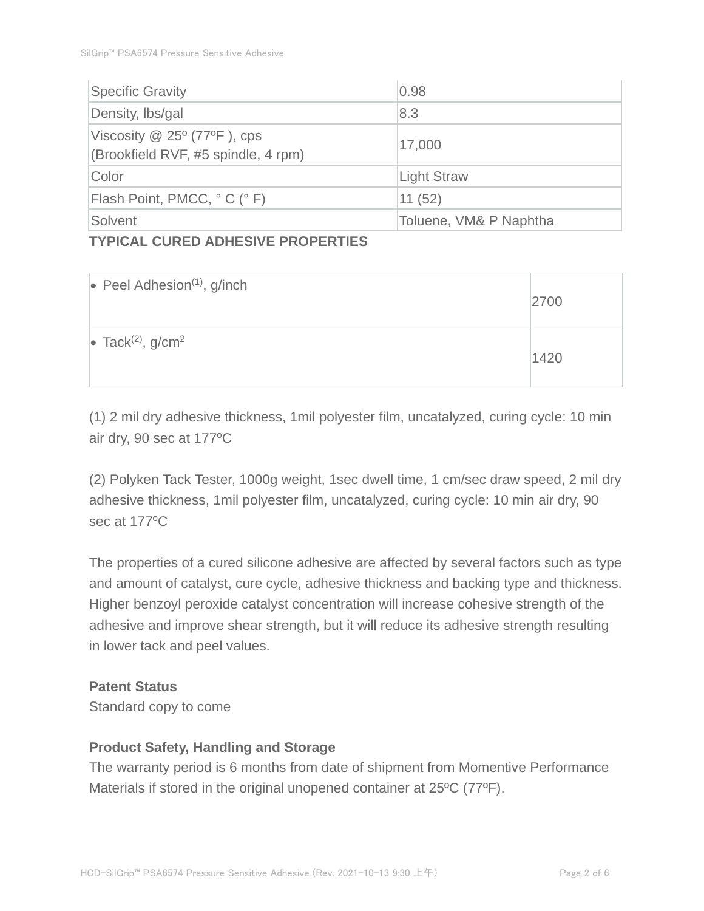| <b>Specific Gravity</b>                                                     | 0.98                   |
|-----------------------------------------------------------------------------|------------------------|
| Density, Ibs/gal                                                            | 8.3                    |
| Viscosity $@$ 25 $°$ (77 $°$ F), cps<br>(Brookfield RVF, #5 spindle, 4 rpm) | 17,000                 |
| Color                                                                       | <b>Light Straw</b>     |
| Flash Point, PMCC, °C (°F)                                                  | 11(52)                 |
| Solvent                                                                     | Toluene, VM& P Naphtha |

#### **TYPICAL CURED ADHESIVE PROPERTIES**

| $\bullet$ Peel Adhesion <sup>(1)</sup> , g/inch | 2700 |
|-------------------------------------------------|------|
| • Tack <sup>(2)</sup> , $g/cm2$                 | 1420 |

(1) 2 mil dry adhesive thickness, 1mil polyester film, uncatalyzed, curing cycle: 10 min air dry, 90 sec at 177°C

(2) Polyken Tack Tester, 1000g weight, 1sec dwell time, 1 cm/sec draw speed, 2 mil dry adhesive thickness, 1mil polyester film, uncatalyzed, curing cycle: 10 min air dry, 90 sec at 177°C

The properties of a cured silicone adhesive are affected by several factors such as type and amount of catalyst, cure cycle, adhesive thickness and backing type and thickness. Higher benzoyl peroxide catalyst concentration will increase cohesive strength of the adhesive and improve shear strength, but it will reduce its adhesive strength resulting in lower tack and peel values.

### **Patent Status**

Standard copy to come

#### **Product Safety, Handling and Storage**

The warranty period is 6 months from date of shipment from Momentive Performance Materials if stored in the original unopened container at 25ºC (77ºF).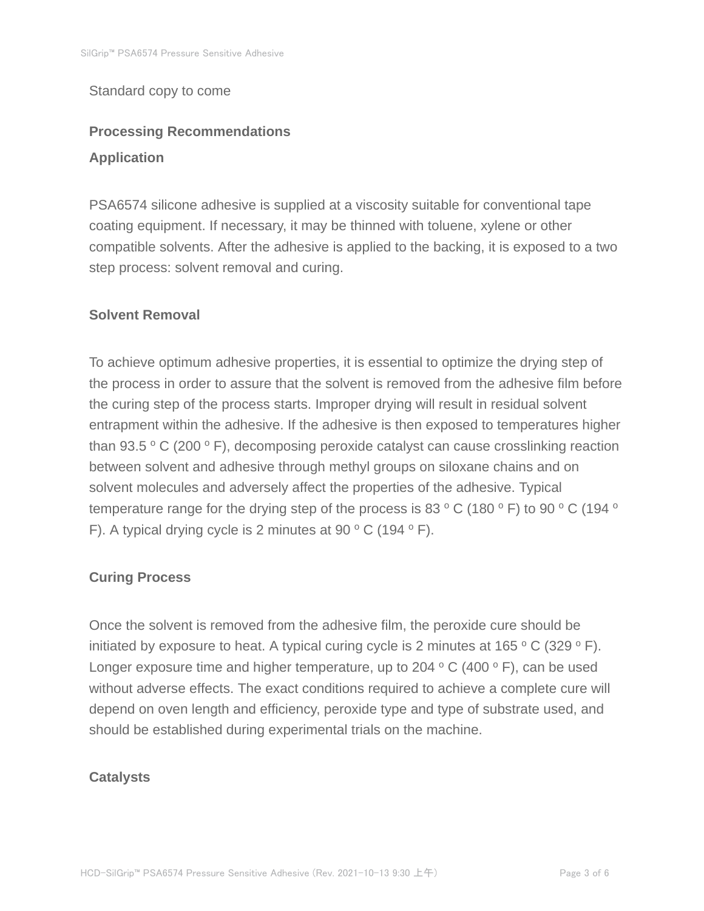#### Standard copy to come

# **Processing Recommendations Application**

PSA6574 silicone adhesive is supplied at a viscosity suitable for conventional tape coating equipment. If necessary, it may be thinned with toluene, xylene or other compatible solvents. After the adhesive is applied to the backing, it is exposed to a two step process: solvent removal and curing.

#### **Solvent Removal**

To achieve optimum adhesive properties, it is essential to optimize the drying step of the process in order to assure that the solvent is removed from the adhesive film before the curing step of the process starts. Improper drying will result in residual solvent entrapment within the adhesive. If the adhesive is then exposed to temperatures higher than 93.5  $\,^{\circ}$  C (200  $\,^{\circ}$  F), decomposing peroxide catalyst can cause crosslinking reaction between solvent and adhesive through methyl groups on siloxane chains and on solvent molecules and adversely affect the properties of the adhesive. Typical temperature range for the drying step of the process is 83  $\rm ^o$  C (180  $\rm ^o$  F) to 90  $\rm ^o$  C (194  $\rm ^o$ F). A typical drying cycle is 2 minutes at 90  $\,^{\circ}$  C (194  $\,^{\circ}$  F).

#### **Curing Process**

Once the solvent is removed from the adhesive film, the peroxide cure should be initiated by exposure to heat. A typical curing cycle is 2 minutes at 165  $\degree$  C (329  $\degree$  F). Longer exposure time and higher temperature, up to 204  $\,^{\circ}$  C (400  $\,^{\circ}$  F), can be used without adverse effects. The exact conditions required to achieve a complete cure will depend on oven length and efficiency, peroxide type and type of substrate used, and should be established during experimental trials on the machine.

#### **Catalysts**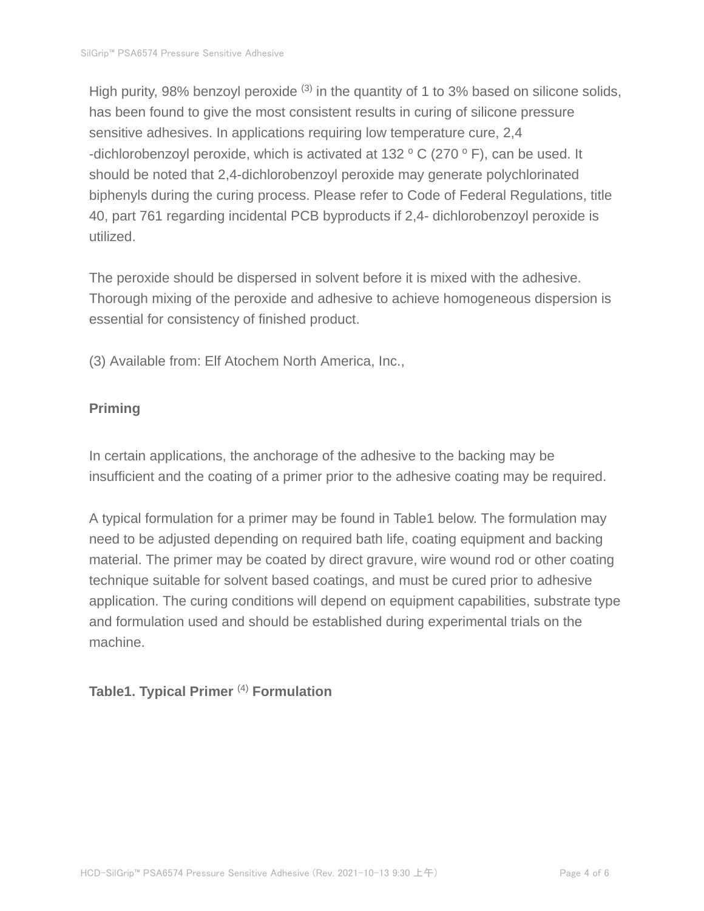High purity, 98% benzoyl peroxide  $(3)$  in the quantity of 1 to 3% based on silicone solids, has been found to give the most consistent results in curing of silicone pressure sensitive adhesives. In applications requiring low temperature cure, 2,4 -dichlorobenzoyl peroxide, which is activated at 132  $\,^{\circ}$  C (270  $\,^{\circ}$  F), can be used. It should be noted that 2,4-dichlorobenzoyl peroxide may generate polychlorinated biphenyls during the curing process. Please refer to Code of Federal Regulations, title 40, part 761 regarding incidental PCB byproducts if 2,4- dichlorobenzoyl peroxide is utilized.

The peroxide should be dispersed in solvent before it is mixed with the adhesive. Thorough mixing of the peroxide and adhesive to achieve homogeneous dispersion is essential for consistency of finished product.

(3) Available from: Elf Atochem North America, Inc.,

### **Priming**

In certain applications, the anchorage of the adhesive to the backing may be insufficient and the coating of a primer prior to the adhesive coating may be required.

A typical formulation for a primer may be found in Table1 below. The formulation may need to be adjusted depending on required bath life, coating equipment and backing material. The primer may be coated by direct gravure, wire wound rod or other coating technique suitable for solvent based coatings, and must be cured prior to adhesive application. The curing conditions will depend on equipment capabilities, substrate type and formulation used and should be established during experimental trials on the machine.

#### **Table1. Typical Primer** (4) **Formulation**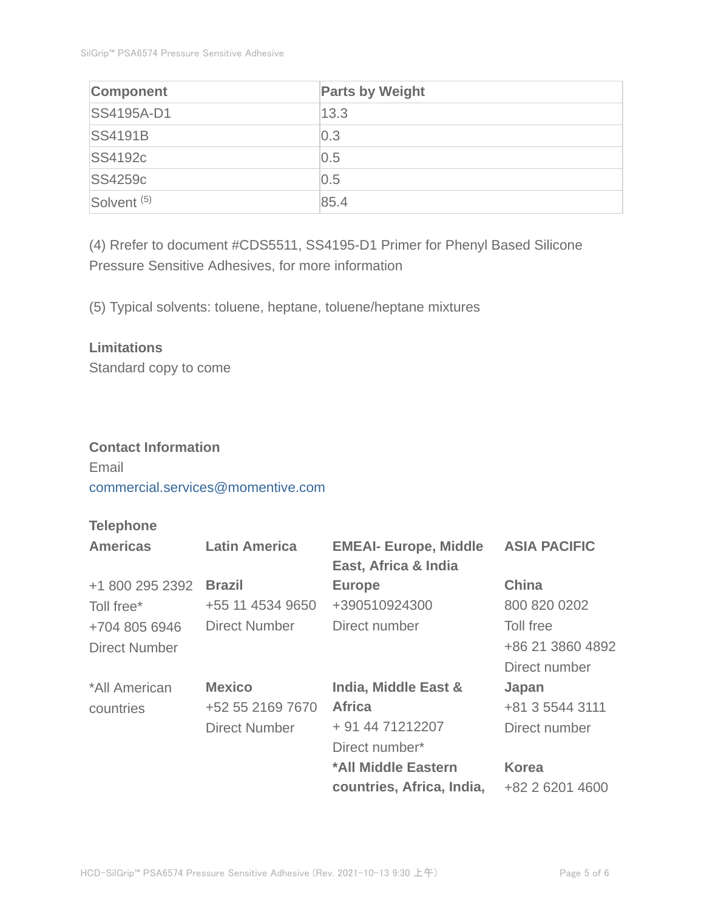| <b>Component</b>       | <b>Parts by Weight</b> |
|------------------------|------------------------|
| <b>SS4195A-D1</b>      | 13.3                   |
| <b>SS4191B</b>         | 0.3                    |
| <b>SS4192c</b>         | 0.5                    |
| <b>SS4259c</b>         | 0.5                    |
| Solvent <sup>(5)</sup> | 85.4                   |

(4) Rrefer to document #CDS5511, SS4195-D1 Primer for Phenyl Based Silicone Pressure Sensitive Adhesives, for more information

(5) Typical solvents: toluene, heptane, toluene/heptane mixtures

### **Limitations**

Standard copy to come

## **Contact Information**

Email commercial.services@momentive.com

## **Telephone**

| <b>Americas</b>      | <b>Latin America</b> | <b>EMEAI- Europe, Middle</b> | <b>ASIA PACIFIC</b> |
|----------------------|----------------------|------------------------------|---------------------|
|                      |                      | East, Africa & India         |                     |
| +1 800 295 2392      | <b>Brazil</b>        | <b>Europe</b>                | <b>China</b>        |
| Toll free*           | +55 11 4534 9650     | +390510924300                | 800 820 0202        |
| +704 805 6946        | <b>Direct Number</b> | Direct number                | Toll free           |
| <b>Direct Number</b> |                      |                              | +86 21 3860 4892    |
|                      |                      |                              | Direct number       |
| *All American        | <b>Mexico</b>        | India, Middle East &         | Japan               |
| countries            | +52 55 2169 7670     | <b>Africa</b>                | +81 3 5544 3111     |
|                      | <b>Direct Number</b> | + 91 44 71212207             | Direct number       |
|                      |                      | Direct number*               |                     |
|                      |                      | *All Middle Eastern          | <b>Korea</b>        |
|                      |                      | countries, Africa, India,    | +82 2 6201 4600     |
|                      |                      |                              |                     |